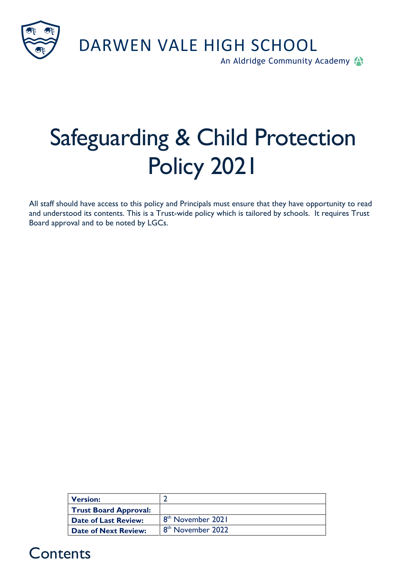

DARWEN VALE HIGH SCHOOL

An Aldridge Community Academy

# Safeguarding & Child Protection Policy 2021

All staff should have access to this policy and Principals must ensure that they have opportunity to read and understood its contents. This is a Trust-wide policy which is tailored by schools. It requires Trust Board approval and to be noted by LGCs.

| <b>Version:</b>              |                               |
|------------------------------|-------------------------------|
| <b>Trust Board Approval:</b> |                               |
| Date of Last Review:         | 8 <sup>th</sup> November 2021 |
| Date of Next Review:         | 8 <sup>th</sup> November 2022 |

#### **Contents**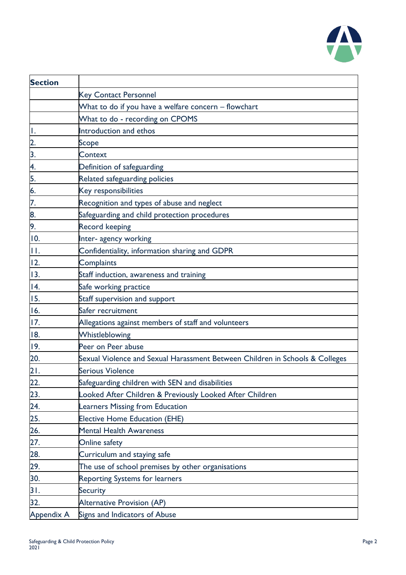

| <b>Section</b>   |                                                                              |  |  |
|------------------|------------------------------------------------------------------------------|--|--|
|                  | <b>Key Contact Personnel</b>                                                 |  |  |
|                  | What to do if you have a welfare concern - flowchart                         |  |  |
|                  | What to do - recording on CPOMS                                              |  |  |
| Ι.               | Introduction and ethos                                                       |  |  |
| 2.               | Scope                                                                        |  |  |
| $\overline{3}$ . | Context                                                                      |  |  |
| 4.               | Definition of safeguarding                                                   |  |  |
| 5.               | Related safeguarding policies                                                |  |  |
| 6.               | Key responsibilities                                                         |  |  |
| 7.               | Recognition and types of abuse and neglect                                   |  |  |
| 8.               | Safeguarding and child protection procedures                                 |  |  |
| 9.               | <b>Record keeping</b>                                                        |  |  |
| 10.              | Inter- agency working                                                        |  |  |
| П.               | Confidentiality, information sharing and GDPR                                |  |  |
| 12.              | Complaints                                                                   |  |  |
| 13.              | Staff induction, awareness and training                                      |  |  |
| 14.              | Safe working practice                                                        |  |  |
| 15.              | Staff supervision and support                                                |  |  |
| 16.              | Safer recruitment                                                            |  |  |
| 17.              | Allegations against members of staff and volunteers                          |  |  |
| 18.              | Whistleblowing                                                               |  |  |
| 19.              | Peer on Peer abuse                                                           |  |  |
| 20.              | Sexual Violence and Sexual Harassment Between Children in Schools & Colleges |  |  |
| 21.              | <b>Serious Violence</b>                                                      |  |  |
| 22.              | Safeguarding children with SEN and disabilities                              |  |  |
| 23.              | Looked After Children & Previously Looked After Children                     |  |  |
| 24.              | Learners Missing from Education                                              |  |  |
| 25.              | <b>Elective Home Education (EHE)</b>                                         |  |  |
| 26.              | <b>Mental Health Awareness</b>                                               |  |  |
| 27.              | Online safety                                                                |  |  |
| 28.              | Curriculum and staying safe                                                  |  |  |
| 29.              | The use of school premises by other organisations                            |  |  |
| 30.              | <b>Reporting Systems for learners</b>                                        |  |  |
| 31.              | <b>Security</b>                                                              |  |  |
| 32.              | Alternative Provision (AP)                                                   |  |  |
| Appendix A       | Signs and Indicators of Abuse                                                |  |  |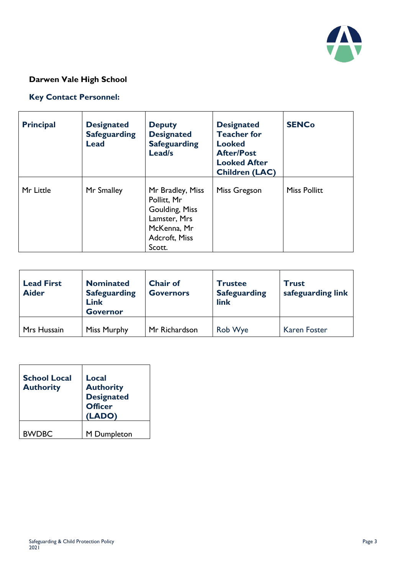

#### **Darwen Vale High School**

#### **Key Contact Personnel:**

| <b>Principal</b> | <b>Designated</b><br><b>Safeguarding</b><br><b>Lead</b> | <b>Deputy</b><br><b>Designated</b><br><b>Safeguarding</b><br>Lead/s                                         | <b>Designated</b><br><b>Teacher for</b><br><b>Looked</b><br><b>After/Post</b><br><b>Looked After</b><br><b>Children (LAC)</b> | <b>SENCo</b>        |
|------------------|---------------------------------------------------------|-------------------------------------------------------------------------------------------------------------|-------------------------------------------------------------------------------------------------------------------------------|---------------------|
| Mr Little        | Mr Smalley                                              | Mr Bradley, Miss<br>Pollitt, Mr<br>Goulding, Miss<br>Lamster, Mrs<br>McKenna, Mr<br>Adcroft, Miss<br>Scott. | Miss Gregson                                                                                                                  | <b>Miss Pollitt</b> |

| <b>Lead First</b><br><b>Aider</b> | <b>Nominated</b><br><b>Safeguarding</b><br>Link<br><b>Governor</b> | <b>Chair of</b><br><b>Governors</b> | <b>Trustee</b><br><b>Safeguarding</b><br>link | <b>Trust</b><br>safeguarding link |
|-----------------------------------|--------------------------------------------------------------------|-------------------------------------|-----------------------------------------------|-----------------------------------|
| Mrs Hussain                       | <b>Miss Murphy</b>                                                 | Mr Richardson                       | Rob Wye                                       | <b>Karen Foster</b>               |

| <b>School Local</b><br><b>Authority</b> | Local<br><b>Authority</b><br><b>Designated</b><br><b>Officer</b><br>(LADO) |
|-----------------------------------------|----------------------------------------------------------------------------|
| <b>BWDBC</b>                            | M Dumpleton                                                                |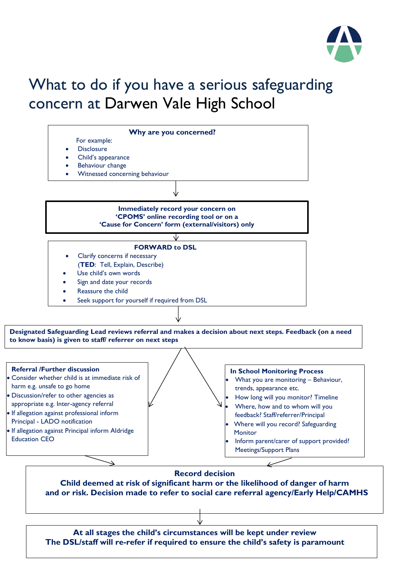

# What to do if you have a serious safeguarding concern at Darwen Vale High School

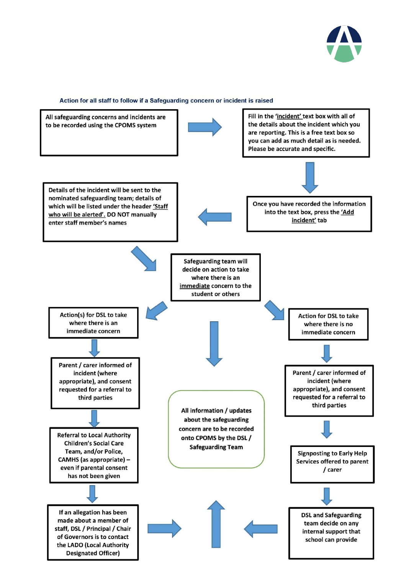

#### Action for all staff to follow if a Safeguarding concern or incident is raised

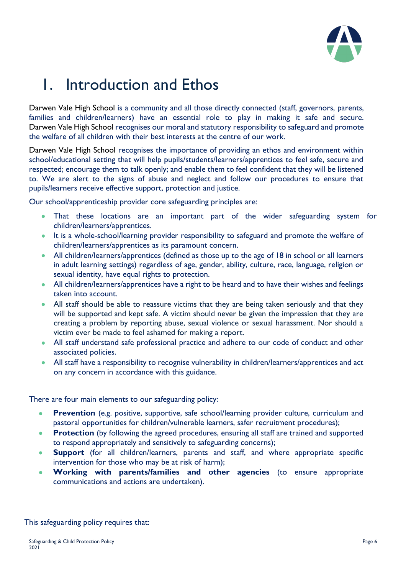

# 1. Introduction and Ethos

Darwen Vale High School is a community and all those directly connected (staff, governors, parents, families and children/learners) have an essential role to play in making it safe and secure. Darwen Vale High School recognises our moral and statutory responsibility to safeguard and promote the welfare of all children with their best interests at the centre of our work.

Darwen Vale High School recognises the importance of providing an ethos and environment within school/educational setting that will help pupils/students/learners/apprentices to feel safe, secure and respected; encourage them to talk openly; and enable them to feel confident that they will be listened to. We are alert to the signs of abuse and neglect and follow our procedures to ensure that pupils/learners receive effective support, protection and justice.

Our school/apprenticeship provider core safeguarding principles are:

- That these locations are an important part of the wider safeguarding system for children/learners/apprentices.
- It is a whole-school/learning provider responsibility to safeguard and promote the welfare of children/learners/apprentices as its paramount concern.
- All children/learners/apprentices (defined as those up to the age of 18 in school or all learners in adult learning settings) regardless of age, gender, ability, culture, race, language, religion or sexual identity, have equal rights to protection.
- All children/learners/apprentices have a right to be heard and to have their wishes and feelings taken into account.
- All staff should be able to reassure victims that they are being taken seriously and that they will be supported and kept safe. A victim should never be given the impression that they are creating a problem by reporting abuse, sexual violence or sexual harassment. Nor should a victim ever be made to feel ashamed for making a report.
- All staff understand safe professional practice and adhere to our code of conduct and other associated policies.
- All staff have a responsibility to recognise vulnerability in children/learners/apprentices and act on any concern in accordance with this guidance.

There are four main elements to our safeguarding policy:

- **Prevention** (e.g. positive, supportive, safe school/learning provider culture, curriculum and pastoral opportunities for children/vulnerable learners, safer recruitment procedures);
- **Protection** (by following the agreed procedures, ensuring all staff are trained and supported to respond appropriately and sensitively to safeguarding concerns);
- **Support** (for all children/learners, parents and staff, and where appropriate specific intervention for those who may be at risk of harm);
- **Working with parents/families and other agencies** (to ensure appropriate communications and actions are undertaken).

This safeguarding policy requires that: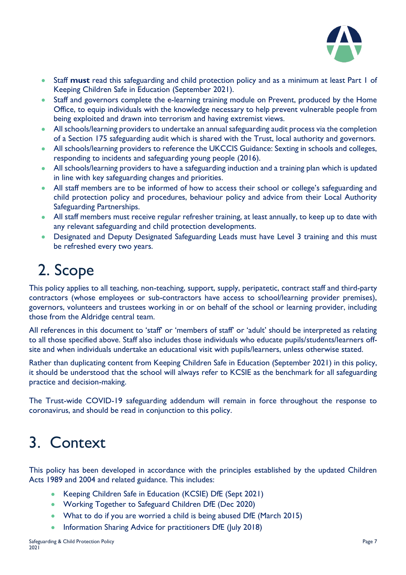

- Staff **must** read this safeguarding and child protection policy and as a minimum at least Part 1 of Keeping Children Safe in Education (September 2021).
- Staff and governors complete the e-learning training module on Prevent, produced by the Home Office, to equip individuals with the knowledge necessary to help prevent vulnerable people from being exploited and drawn into terrorism and having extremist views.
- All schools/learning providers to undertake an annual safeguarding audit process via the completion of a Section 175 safeguarding audit which is shared with the Trust, local authority and governors.
- All schools/learning providers to reference the UKCCIS Guidance: Sexting in schools and colleges, responding to incidents and safeguarding young people (2016).
- All schools/learning providers to have a safeguarding induction and a training plan which is updated in line with key safeguarding changes and priorities.
- All staff members are to be informed of how to access their school or college's safeguarding and child protection policy and procedures, behaviour policy and advice from their Local Authority Safeguarding Partnerships.
- All staff members must receive regular refresher training, at least annually, to keep up to date with any relevant safeguarding and child protection developments.
- Designated and Deputy Designated Safeguarding Leads must have Level 3 training and this must be refreshed every two years.

# 2. Scope

This policy applies to all teaching, non-teaching, support, supply, peripatetic, contract staff and third-party contractors (whose employees or sub-contractors have access to school/learning provider premises), governors, volunteers and trustees working in or on behalf of the school or learning provider, including those from the Aldridge central team.

All references in this document to 'staff' or 'members of staff' or 'adult' should be interpreted as relating to all those specified above. Staff also includes those individuals who educate pupils/students/learners offsite and when individuals undertake an educational visit with pupils/learners, unless otherwise stated.

Rather than duplicating content from Keeping Children Safe in Education (September 2021) in this policy, it should be understood that the school will always refer to KCSIE as the benchmark for all safeguarding practice and decision-making.

The Trust-wide COVID-19 safeguarding addendum will remain in force throughout the response to coronavirus, and should be read in conjunction to this policy.

# 3. Context

This policy has been developed in accordance with the principles established by the updated Children Acts 1989 and 2004 and related guidance. This includes:

- Keeping Children Safe in Education (KCSIE) DfE (Sept 2021)
- Working Together to Safeguard Children DfE (Dec 2020)
- What to do if you are worried a child is being abused DfE (March 2015)
- Information Sharing Advice for practitioners DfE (July 2018)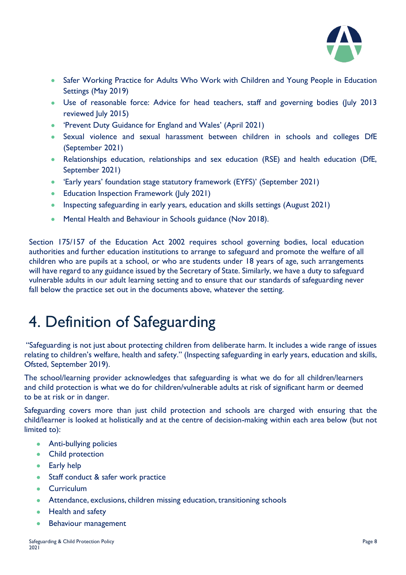

- Safer Working Practice for Adults Who Work with Children and Young People in Education Settings (May 2019)
- Use of reasonable force: Advice for head teachers, staff and governing bodies (July 2013 reviewed July 2015)
- 'Prevent Duty Guidance for England and Wales' (April 2021)
- Sexual violence and sexual harassment between children in schools and colleges DfE (September 2021)
- Relationships education, relationships and sex education (RSE) and health education (DfE, September 2021)
- 'Early years' foundation stage statutory framework (EYFS)' (September 2021)
- Education Inspection Framework (July 2021)
- Inspecting safeguarding in early years, education and skills settings (August 2021)
- Mental Health and Behaviour in Schools guidance (Nov 2018).

Section 175/157 of the Education Act 2002 requires school governing bodies, local education authorities and further education institutions to arrange to safeguard and promote the welfare of all children who are pupils at a school, or who are students under 18 years of age, such arrangements will have regard to any guidance issued by the Secretary of State. Similarly, we have a duty to safeguard vulnerable adults in our adult learning setting and to ensure that our standards of safeguarding never fall below the practice set out in the documents above, whatever the setting.

# 4. Definition of Safeguarding

 "Safeguarding is not just about protecting children from deliberate harm. It includes a wide range of issues relating to children's welfare, health and safety." (Inspecting safeguarding in early years, education and skills, Ofsted, September 2019).

The school/learning provider acknowledges that safeguarding is what we do for all children/learners and child protection is what we do for children/vulnerable adults at risk of significant harm or deemed to be at risk or in danger.

Safeguarding covers more than just child protection and schools are charged with ensuring that the child/learner is looked at holistically and at the centre of decision-making within each area below (but not limited to):

- Anti-bullying policies
- Child protection
- Early help
- Staff conduct & safer work practice
- **Curriculum**
- Attendance, exclusions, children missing education, transitioning schools
- Health and safety
- Behaviour management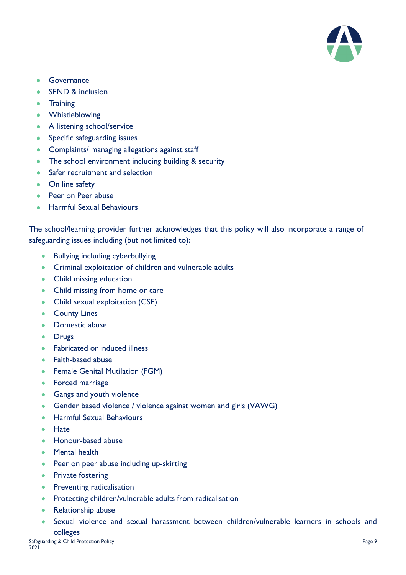

- Governance
- **SEND & inclusion**
- Training
- Whistleblowing
- A listening school/service
- Specific safeguarding issues
- Complaints/ managing allegations against staff
- The school environment including building & security
- Safer recruitment and selection
- On line safety
- Peer on Peer abuse
- Harmful Sexual Behaviours

The school/learning provider further acknowledges that this policy will also incorporate a range of safeguarding issues including (but not limited to):

- Bullying including cyberbullying
- Criminal exploitation of children and vulnerable adults
- Child missing education
- Child missing from home or care
- Child sexual exploitation (CSE)
- County Lines
- Domestic abuse
- Drugs
- Fabricated or induced illness
- Faith-based abuse
- Female Genital Mutilation (FGM)
- Forced marriage
- Gangs and youth violence
- Gender based violence / violence against women and girls (VAWG)
- Harmful Sexual Behaviours
- Hate
- Honour-based abuse
- Mental health
- Peer on peer abuse including up-skirting
- Private fostering
- Preventing radicalisation
- Protecting children/vulnerable adults from radicalisation
- Relationship abuse
- Sexual violence and sexual harassment between children/vulnerable learners in schools and colleges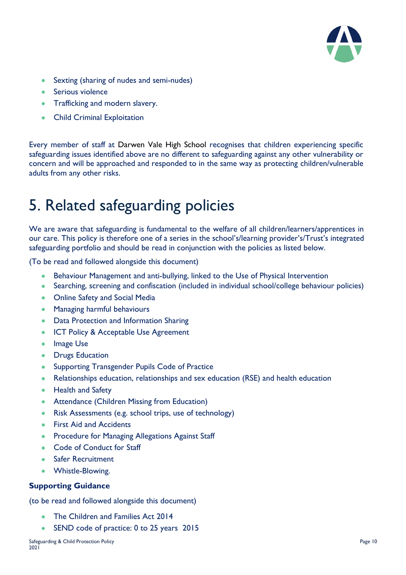

- Sexting (sharing of nudes and semi-nudes)
- Serious violence
- Trafficking and modern slavery.
- Child Criminal Exploitation

Every member of staff at Darwen Vale High School recognises that children experiencing specific safeguarding issues identified above are no different to safeguarding against any other vulnerability or concern and will be approached and responded to in the same way as protecting children/vulnerable adults from any other risks.

### 5. Related safeguarding policies

We are aware that safeguarding is fundamental to the welfare of all children/learners/apprentices in our care. This policy is therefore one of a series in the school's/learning provider's/Trust's integrated safeguarding portfolio and should be read in conjunction with the policies as listed below.

(To be read and followed alongside this document)

- Behaviour Management and anti-bullying, linked to the Use of Physical Intervention
- Searching, screening and confiscation (included in individual school/college behaviour policies)
- Online Safety and Social Media
- Managing harmful behaviours
- Data Protection and Information Sharing
- ICT Policy & Acceptable Use Agreement
- Image Use
- Drugs Education
- Supporting Transgender Pupils Code of Practice
- Relationships education, relationships and sex education (RSE) and health education
- Health and Safety
- Attendance (Children Missing from Education)
- Risk Assessments (e.g. school trips, use of technology)
- First Aid and Accidents
- Procedure for Managing Allegations Against Staff
- Code of Conduct for Staff
- **Safer Recruitment**
- Whistle-Blowing.

#### **Supporting Guidance**

(to be read and followed alongside this document)

- The Children and Families Act [2014](http://www.legislation.gov.uk/ukpga/2014/6/contents/enacted)
- [SEND code of practice: 0 to 25 years](https://www.gov.uk/government/publications/send-code-of-practice-0-to-25) 2015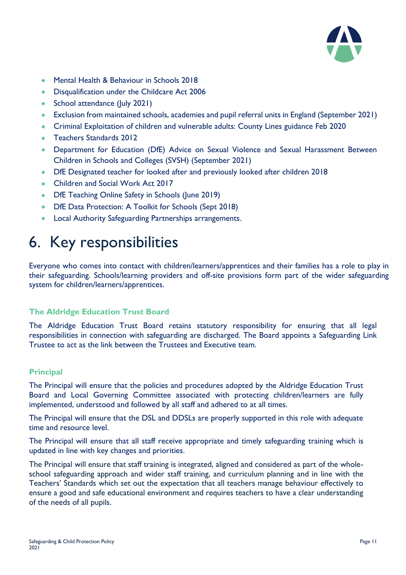

- [Mental Health & Behaviour in Schools 2018](https://www.gov.uk/government/publications/mental-health-and-behaviour-in-schools--2)
- [Disqualification under the Childcare Act 2006](https://www.gov.uk/government/publications/disqualification-under-the-childcare-act-2006)
- [School attendance \(July](https://www.gov.uk/government/uploads/system/uploads/attachment_data/file/564599/school_attendance.pdf) 2021)
- [Exclusion from maintained schools, academies and pupil referral units in England \(September](https://www.gov.uk/government/uploads/system/uploads/attachment_data/file/630073/Exclusion_from_maintained_schools__academies_and_pupil_referral_units_guidance.pdf) 2021)
- [Criminal Exploitation of children and vulnerable adults: County Lines guidance](https://www.gov.uk/government/publications/criminal-exploitation-of-children-and-vulnerable-adults-county-lines) Feb 2020
- Teachers Standards 2012
- Department for Education (DfE) Advice on Sexual Violence and Sexual Harassment Between Children in Schools and Colleges (SVSH) (September 2021)
- DfE Designated teacher for looked after and previously looked after children 2018
- Children and Social Work Act 2017
- DfE Teaching Online Safety in Schools (June 2019)
- DfE Data Protection: A Toolkit for Schools (Sept 2018)
- Local Authority Safeguarding Partnerships arrangements.

# 6. Key responsibilities

Everyone who comes into contact with children/learners/apprentices and their families has a role to play in their safeguarding. Schools/learning providers and off-site provisions form part of the wider safeguarding system for children/learners/apprentices.

#### **The Aldridge Education Trust Board**

The Aldridge Education Trust Board retains statutory responsibility for ensuring that all legal responsibilities in connection with safeguarding are discharged. The Board appoints a Safeguarding Link Trustee to act as the link between the Trustees and Executive team.

#### **Principal**

The Principal will ensure that the policies and procedures adopted by the Aldridge Education Trust Board and Local Governing Committee associated with protecting children/learners are fully implemented, understood and followed by all staff and adhered to at all times.

The Principal will ensure that the DSL and DDSLs are properly supported in this role with adequate time and resource level.

The Principal will ensure that all staff receive appropriate and timely safeguarding training which is updated in line with key changes and priorities.

The Principal will ensure that staff training is integrated, aligned and considered as part of the wholeschool safeguarding approach and wider staff training, and curriculum planning and in line with the Teachers' Standards which set out the expectation that all teachers manage behaviour effectively to ensure a good and safe educational environment and requires teachers to have a clear understanding of the needs of all pupils.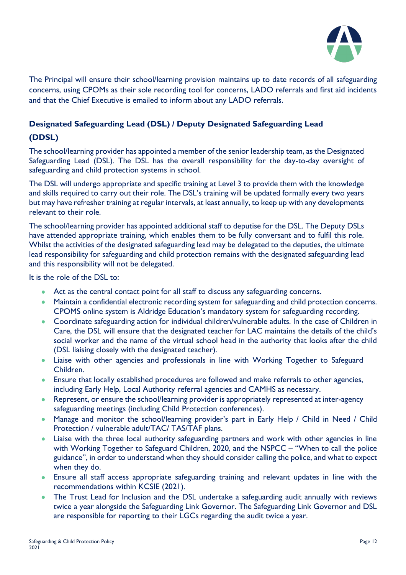

The Principal will ensure their school/learning provision maintains up to date records of all safeguarding concerns, using CPOMs as their sole recording tool for concerns, LADO referrals and first aid incidents and that the Chief Executive is emailed to inform about any LADO referrals.

#### **Designated Safeguarding Lead (DSL) / Deputy Designated Safeguarding Lead**

#### **(DDSL)**

The school/learning provider has appointed a member of the senior leadership team, as the Designated Safeguarding Lead (DSL). The DSL has the overall responsibility for the day-to-day oversight of safeguarding and child protection systems in school.

The DSL will undergo appropriate and specific training at Level 3 to provide them with the knowledge and skills required to carry out their role. The DSL's training will be updated formally every two years but may have refresher training at regular intervals, at least annually, to keep up with any developments relevant to their role.

The school/learning provider has appointed additional staff to deputise for the DSL. The Deputy DSLs have attended appropriate training, which enables them to be fully conversant and to fulfil this role. Whilst the activities of the designated safeguarding lead may be delegated to the deputies, the ultimate lead responsibility for safeguarding and child protection remains with the designated safeguarding lead and this responsibility will not be delegated.

It is the role of the DSL to:

- Act as the central contact point for all staff to discuss any safeguarding concerns.
- Maintain a confidential electronic recording system for safeguarding and child protection concerns. CPOMS online system is Aldridge Education's mandatory system for safeguarding recording.
- Coordinate safeguarding action for individual children/vulnerable adults. In the case of Children in Care, the DSL will ensure that the designated teacher for LAC maintains the details of the child's social worker and the name of the virtual school head in the authority that looks after the child (DSL liaising closely with the designated teacher).
- Liaise with other agencies and professionals in line with Working Together to Safeguard Children.
- Ensure that locally established procedures are followed and make referrals to other agencies, including Early Help, Local Authority referral agencies and CAMHS as necessary.
- Represent, or ensure the school/learning provider is appropriately represented at inter-agency safeguarding meetings (including Child Protection conferences).
- Manage and monitor the school/learning provider's part in Early Help / Child in Need / Child Protection / vulnerable adult/TAC/ TAS/TAF plans.
- Liaise with the three local authority safeguarding partners and work with other agencies in line with Working Together to Safeguard Children, 2020, and the NSPCC – "When to call the police guidance", in order to understand when they should consider calling the police, and what to expect when they do.
- Ensure all staff access appropriate safeguarding training and relevant updates in line with the recommendations within KCSIE (2021).
- The Trust Lead for Inclusion and the DSL undertake a safeguarding audit annually with reviews twice a year alongside the Safeguarding Link Governor. The Safeguarding Link Governor and DSL are responsible for reporting to their LGCs regarding the audit twice a year.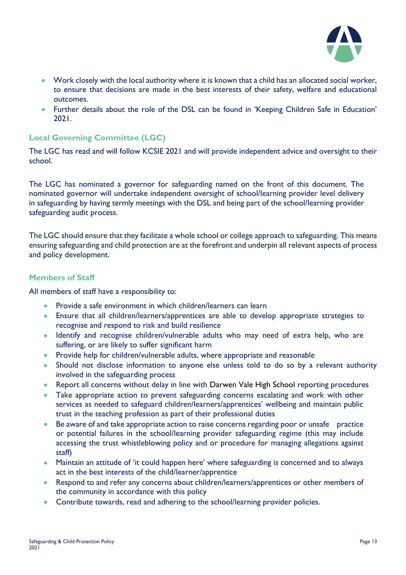

- Work closely with the local authority where it is known that a child has an allocated social worker, to ensure that decisions are made in the best interests of their safety, welfare and educational outcomes.
- Further details about the role of the DSL can be found in 'Keeping Children Safe in Education' 2021.

#### **Local Governing Committee (LGC)**

The LGC has read and will follow KCSIE 2021 and will provide independent advice and oversight to their school.

The LGC has nominated a governor for safeguarding named on the front of this document. The nominated governor will undertake independent oversight of school/learning provider level delivery in safeguarding by having termly meetings with the DSL and being part of the school/learning provider safeguarding audit process.

The LGC should ensure that they facilitate a whole school or college approach to safeguarding. This means ensuring safeguarding and child protection are at the forefront and underpin all relevant aspects of process and policy development.

#### **Members of Staff**

All members of staff have a responsibility to:

- Provide a safe environment in which children/learners can learn
- Ensure that all children/learners/apprentices are able to develop appropriate strategies to recognise and respond to risk and build resilience
- Identify and recognise children/vulnerable adults who may need of extra help, who are suffering, or are likely to suffer significant harm
- Provide help for children/vulnerable adults, where appropriate and reasonable
- Should not disclose information to anyone else unless told to do so by a relevant authority involved in the safeguarding process
- Report all concerns without delay in line with Darwen Vale High School reporting procedures
- Take appropriate action to prevent safeguarding concerns escalating and work with other services as needed to safeguard children/learners/apprentices' wellbeing and maintain public trust in the teaching profession as part of their professional duties
- Be aware of and take appropriate action to raise concerns regarding poor or unsafe practice or potential failures in the school/learning provider safeguarding regime (this may include accessing the trust whistleblowing policy and or procedure for managing allegations against staff)
- Maintain an attitude of 'it could happen here' where safeguarding is concerned and to always act in the best interests of the child/learner/apprentice
- Respond to and refer any concerns about children/learners/apprentices or other members of the community in accordance with this policy
- Contribute towards, read and adhering to the school/learning provider policies.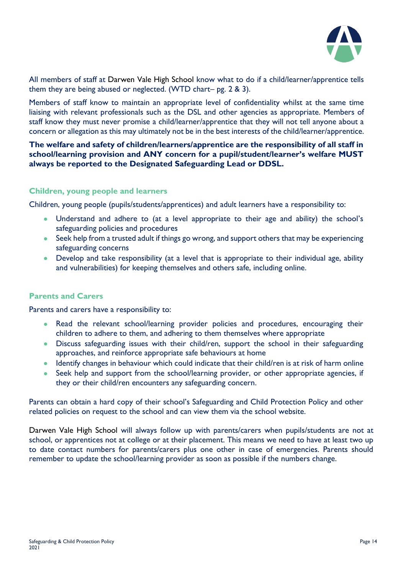

All members of staff at Darwen Vale High School know what to do if a child/learner/apprentice tells them they are being abused or neglected. (WTD chart– pg. 2 & 3).

Members of staff know to maintain an appropriate level of confidentiality whilst at the same time liaising with relevant professionals such as the DSL and other agencies as appropriate. Members of staff know they must never promise a child/learner/apprentice that they will not tell anyone about a concern or allegation as this may ultimately not be in the best interests of the child/learner/apprentice.

**The welfare and safety of children/learners/apprentice are the responsibility of all staff in school/learning provision and ANY concern for a pupil/student/learner's welfare MUST always be reported to the Designated Safeguarding Lead or DDSL.**

#### **Children, young people and learners**

Children, young people (pupils/students/apprentices) and adult learners have a responsibility to:

- Understand and adhere to (at a level appropriate to their age and ability) the school's safeguarding policies and procedures
- Seek help from a trusted adult if things go wrong, and support others that may be experiencing safeguarding concerns
- Develop and take responsibility (at a level that is appropriate to their individual age, ability and vulnerabilities) for keeping themselves and others safe, including online.

#### **Parents and Carers**

Parents and carers have a responsibility to:

- Read the relevant school/learning provider policies and procedures, encouraging their children to adhere to them, and adhering to them themselves where appropriate
- Discuss safeguarding issues with their child/ren, support the school in their safeguarding approaches, and reinforce appropriate safe behaviours at home
- Identify changes in behaviour which could indicate that their child/ren is at risk of harm online
- Seek help and support from the school/learning provider, or other appropriate agencies, if they or their child/ren encounters any safeguarding concern.

Parents can obtain a hard copy of their school's Safeguarding and Child Protection Policy and other related policies on request to the school and can view them via the school website.

Darwen Vale High School will always follow up with parents/carers when pupils/students are not at school, or apprentices not at college or at their placement. This means we need to have at least two up to date contact numbers for parents/carers plus one other in case of emergencies. Parents should remember to update the school/learning provider as soon as possible if the numbers change.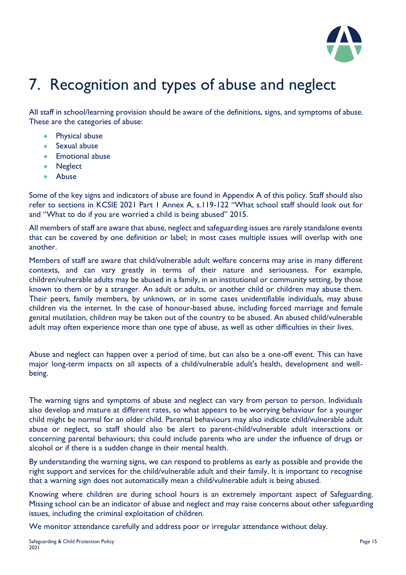

# 7. Recognition and types of abuse and neglect

All staff in school/learning provision should be aware of the definitions, signs, and symptoms of abuse. These are the categories of abuse:

- Physical abuse
- Sexual abuse
- Emotional abuse
- Neglect
- Abuse

Some of the key signs and indicators of abuse are found in Appendix A of this policy. Staff should also refer to sections in KCSIE 2021 Part 1 Annex A, s.119-122 "What school staff should look out for and "What to do if you are worried a child is being abused" 2015.

All members of staff are aware that abuse, neglect and safeguarding issues are rarely standalone events that can be covered by one definition or label; in most cases multiple issues will overlap with one another.

Members of staff are aware that child/vulnerable adult welfare concerns may arise in many different contexts, and can vary greatly in terms of their nature and seriousness. For example, children/vulnerable adults may be abused in a family, in an institutional or community setting, by those known to them or by a stranger. An adult or adults, or another child or children may abuse them. Their peers, family members, by unknown, or in some cases unidentifiable individuals, may abuse children via the internet. In the case of honour-based abuse, including forced marriage and female genital mutilation, children may be taken out of the country to be abused. An abused child/vulnerable adult may often experience more than one type of abuse, as well as other difficulties in their lives.

Abuse and neglect can happen over a period of time, but can also be a one-off event. This can have major long-term impacts on all aspects of a child/vulnerable adult's health, development and wellbeing.

The warning signs and symptoms of abuse and neglect can vary from person to person. Individuals also develop and mature at different rates, so what appears to be worrying behaviour for a younger child might be normal for an older child. Parental behaviours may also indicate child/vulnerable adult abuse or neglect, so staff should also be alert to parent-child/vulnerable adult interactions or concerning parental behaviours; this could include parents who are under the influence of drugs or alcohol or if there is a sudden change in their mental health.

By understanding the warning signs, we can respond to problems as early as possible and provide the right support and services for the child/vulnerable adult and their family. It is important to recognise that a warning sign does not automatically mean a child/vulnerable adult is being abused.

Knowing where children are during school hours is an extremely important aspect of Safeguarding. Missing school can be an indicator of abuse and neglect and may raise concerns about other safeguarding issues, including the criminal exploitation of children.

We monitor attendance carefully and address poor or irregular attendance without delay.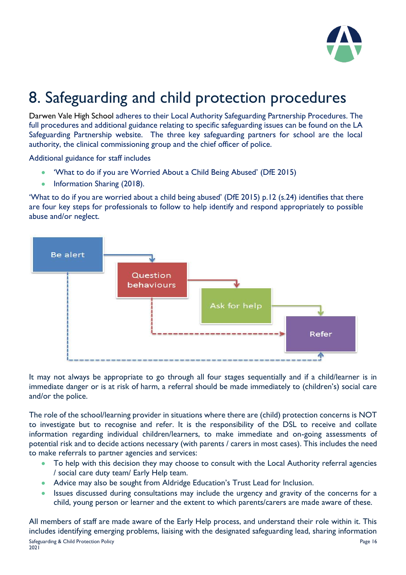

# 8. Safeguarding and child protection procedures

Darwen Vale High School adheres to their Local Authority Safeguarding Partnership Procedures. The full procedures and additional guidance relating to specific safeguarding issues can be found on the LA Safeguarding Partnership website. The three key safeguarding partners for school are the local authority, the clinical commissioning group and the chief officer of police.

Additional guidance for staff includes

- 'What to do if you are Worried About a Child Being Abused' (DfE 2015)
- Information Sharing (2018).

'What to do if you are worried about a child being abused' (DfE 2015) p.12 (s.24) identifies that there are four key steps for professionals to follow to help identify and respond appropriately to possible abuse and/or neglect.



It may not always be appropriate to go through all four stages sequentially and if a child/learner is in immediate danger or is at risk of harm, a referral should be made immediately to (children's) social care and/or the police.

The role of the school/learning provider in situations where there are (child) protection concerns is NOT to investigate but to recognise and refer. It is the responsibility of the DSL to receive and collate information regarding individual children/learners, to make immediate and on-going assessments of potential risk and to decide actions necessary (with parents / carers in most cases). This includes the need to make referrals to partner agencies and services:

- To help with this decision they may choose to consult with the Local Authority referral agencies / social care duty team/ Early Help team.
- Advice may also be sought from Aldridge Education's Trust Lead for Inclusion.
- Issues discussed during consultations may include the urgency and gravity of the concerns for a child, young person or learner and the extent to which parents/carers are made aware of these.

All members of staff are made aware of the Early Help process, and understand their role within it. This includes identifying emerging problems, liaising with the designated safeguarding lead, sharing information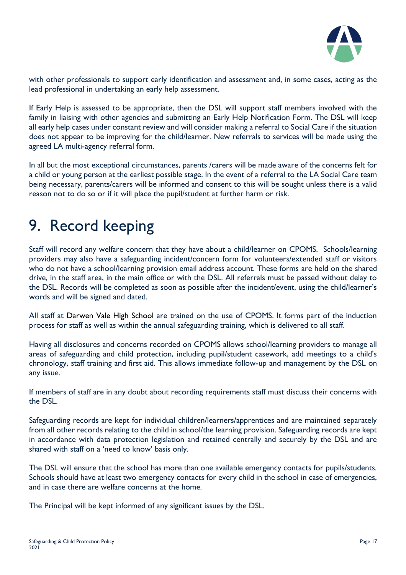

with other professionals to support early identification and assessment and, in some cases, acting as the lead professional in undertaking an early help assessment.

If Early Help is assessed to be appropriate, then the DSL will support staff members involved with the family in liaising with other agencies and submitting an Early Help Notification Form. The DSL will keep all early help cases under constant review and will consider making a referral to Social Care if the situation does not appear to be improving for the child/learner. New referrals to services will be made using the agreed LA multi-agency referral form.

In all but the most exceptional circumstances, parents /carers will be made aware of the concerns felt for a child or young person at the earliest possible stage. In the event of a referral to the LA Social Care team being necessary, parents/carers will be informed and consent to this will be sought unless there is a valid reason not to do so or if it will place the pupil/student at further harm or risk.

# 9. Record keeping

Staff will record any welfare concern that they have about a child/learner on CPOMS. Schools/learning providers may also have a safeguarding incident/concern form for volunteers/extended staff or visitors who do not have a school/learning provision email address account. These forms are held on the shared drive, in the staff area, in the main office or with the DSL. All referrals must be passed without delay to the DSL. Records will be completed as soon as possible after the incident/event, using the child/learner's words and will be signed and dated.

All staff at Darwen Vale High School are trained on the use of CPOMS. It forms part of the induction process for staff as well as within the annual safeguarding training, which is delivered to all staff.

Having all disclosures and concerns recorded on CPOMS allows school/learning providers to manage all areas of safeguarding and child protection, including pupil/student casework, add meetings to a child's chronology, staff training and first aid. This allows immediate follow-up and management by the DSL on any issue.

If members of staff are in any doubt about recording requirements staff must discuss their concerns with the DSL.

Safeguarding records are kept for individual children/learners/apprentices and are maintained separately from all other records relating to the child in school/the learning provision. Safeguarding records are kept in accordance with data protection legislation and retained centrally and securely by the DSL and are shared with staff on a 'need to know' basis only.

The DSL will ensure that the school has more than one available emergency contacts for pupils/students. Schools should have at least two emergency contacts for every child in the school in case of emergencies, and in case there are welfare concerns at the home.

The Principal will be kept informed of any significant issues by the DSL.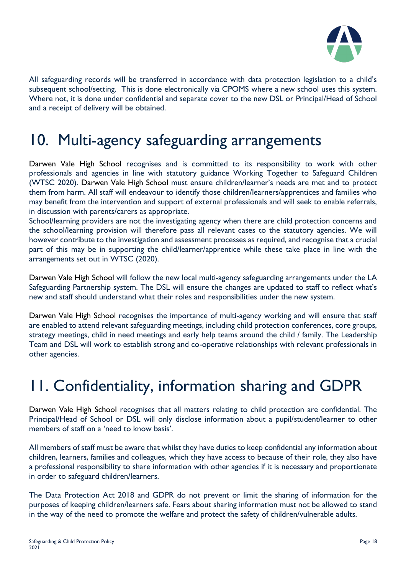

All safeguarding records will be transferred in accordance with data protection legislation to a child's subsequent school/setting. This is done electronically via CPOMS where a new school uses this system. Where not, it is done under confidential and separate cover to the new DSL or Principal/Head of School and a receipt of delivery will be obtained.

### 10. Multi-agency safeguarding arrangements

Darwen Vale High School recognises and is committed to its responsibility to work with other professionals and agencies in line with statutory guidance Working Together to Safeguard Children (WTSC 2020). Darwen Vale High School must ensure children/learner's needs are met and to protect them from harm. All staff will endeavour to identify those children/learners/apprentices and families who may benefit from the intervention and support of external professionals and will seek to enable referrals, in discussion with parents/carers as appropriate.

School/learning providers are not the investigating agency when there are child protection concerns and the school/learning provision will therefore pass all relevant cases to the statutory agencies. We will however contribute to the investigation and assessment processes as required, and recognise that a crucial part of this may be in supporting the child/learner/apprentice while these take place in line with the arrangements set out in WTSC (2020).

Darwen Vale High School will follow the new local multi-agency safeguarding arrangements under the LA Safeguarding Partnership system. The DSL will ensure the changes are updated to staff to reflect what's new and staff should understand what their roles and responsibilities under the new system.

Darwen Vale High School recognises the importance of multi-agency working and will ensure that staff are enabled to attend relevant safeguarding meetings, including child protection conferences, core groups, strategy meetings, child in need meetings and early help teams around the child / family. The Leadership Team and DSL will work to establish strong and co-operative relationships with relevant professionals in other agencies.

# 11. Confidentiality, information sharing and GDPR

Darwen Vale High School recognises that all matters relating to child protection are confidential. The Principal/Head of School or DSL will only disclose information about a pupil/student/learner to other members of staff on a 'need to know basis'.

All members of staff must be aware that whilst they have duties to keep confidential any information about children, learners, families and colleagues, which they have access to because of their role, they also have a professional responsibility to share information with other agencies if it is necessary and proportionate in order to safeguard children/learners.

The Data Protection Act 2018 and GDPR do not prevent or limit the sharing of information for the purposes of keeping children/learners safe. Fears about sharing information must not be allowed to stand in the way of the need to promote the welfare and protect the safety of children/vulnerable adults.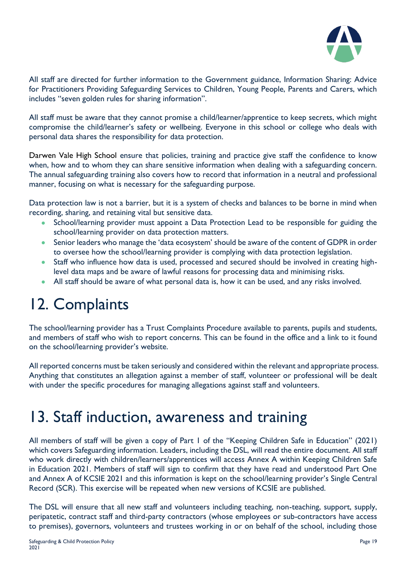

All staff are directed for further information to the Government guidance, Information Sharing: Advice for Practitioners Providing Safeguarding Services to Children, Young People, Parents and Carers, which includes "seven golden rules for sharing information".

All staff must be aware that they cannot promise a child/learner/apprentice to keep secrets, which might compromise the child/learner's safety or wellbeing. Everyone in this school or college who deals with personal data shares the responsibility for data protection.

Darwen Vale High School ensure that policies, training and practice give staff the confidence to know when, how and to whom they can share sensitive information when dealing with a safeguarding concern. The annual safeguarding training also covers how to record that information in a neutral and professional manner, focusing on what is necessary for the safeguarding purpose.

Data protection law is not a barrier, but it is a system of checks and balances to be borne in mind when recording, sharing, and retaining vital but sensitive data.

- School/learning provider must appoint a Data Protection Lead to be responsible for guiding the school/learning provider on data protection matters.
- Senior leaders who manage the 'data ecosystem' should be aware of the content of GDPR in order to oversee how the school/learning provider is complying with data protection legislation.
- Staff who influence how data is used, processed and secured should be involved in creating highlevel data maps and be aware of lawful reasons for processing data and minimising risks.
- All staff should be aware of what personal data is, how it can be used, and any risks involved.

### 12. Complaints

The school/learning provider has a Trust Complaints Procedure available to parents, pupils and students, and members of staff who wish to report concerns. This can be found in the office and a link to it found on the school/learning provider's website.

All reported concerns must be taken seriously and considered within the relevant and appropriate process. Anything that constitutes an allegation against a member of staff, volunteer or professional will be dealt with under the specific procedures for managing allegations against staff and volunteers.

### 13. Staff induction, awareness and training

All members of staff will be given a copy of Part 1 of the "Keeping Children Safe in Education" (2021) which covers Safeguarding information. Leaders, including the DSL, will read the entire document. All staff who work directly with children/learners/apprentices will access Annex A within Keeping Children Safe in Education 2021. Members of staff will sign to confirm that they have read and understood Part One and Annex A of KCSIE 2021 and this information is kept on the school/learning provider's Single Central Record (SCR). This exercise will be repeated when new versions of KCSIE are published.

The DSL will ensure that all new staff and volunteers including teaching, non-teaching, support, supply, peripatetic, contract staff and third-party contractors (whose employees or sub-contractors have access to premises), governors, volunteers and trustees working in or on behalf of the school, including those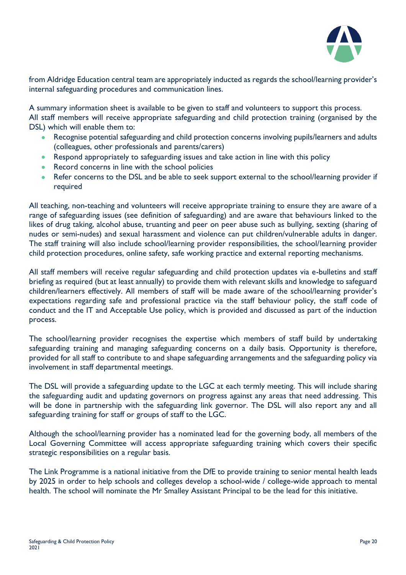

from Aldridge Education central team are appropriately inducted as regards the school/learning provider's internal safeguarding procedures and communication lines.

A summary information sheet is available to be given to staff and volunteers to support this process. All staff members will receive appropriate safeguarding and child protection training (organised by the DSL) which will enable them to:

- Recognise potential safeguarding and child protection concerns involving pupils/learners and adults (colleagues, other professionals and parents/carers)
- Respond appropriately to safeguarding issues and take action in line with this policy
- Record concerns in line with the school policies
- Refer concerns to the DSL and be able to seek support external to the school/learning provider if required

All teaching, non-teaching and volunteers will receive appropriate training to ensure they are aware of a range of safeguarding issues (see definition of safeguarding) and are aware that behaviours linked to the likes of drug taking, alcohol abuse, truanting and peer on peer abuse such as bullying, sexting (sharing of nudes or semi-nudes) and sexual harassment and violence can put children/vulnerable adults in danger. The staff training will also include school/learning provider responsibilities, the school/learning provider child protection procedures, online safety, safe working practice and external reporting mechanisms.

All staff members will receive regular safeguarding and child protection updates via e-bulletins and staff briefing as required (but at least annually) to provide them with relevant skills and knowledge to safeguard children/learners effectively. All members of staff will be made aware of the school/learning provider's expectations regarding safe and professional practice via the staff behaviour policy, the staff code of conduct and the IT and Acceptable Use policy, which is provided and discussed as part of the induction process.

The school/learning provider recognises the expertise which members of staff build by undertaking safeguarding training and managing safeguarding concerns on a daily basis. Opportunity is therefore, provided for all staff to contribute to and shape safeguarding arrangements and the safeguarding policy via involvement in staff departmental meetings.

The DSL will provide a safeguarding update to the LGC at each termly meeting. This will include sharing the safeguarding audit and updating governors on progress against any areas that need addressing. This will be done in partnership with the safeguarding link governor. The DSL will also report any and all safeguarding training for staff or groups of staff to the LGC.

Although the school/learning provider has a nominated lead for the governing body, all members of the Local Governing Committee will access appropriate safeguarding training which covers their specific strategic responsibilities on a regular basis.

The Link Programme is a national initiative from the DfE to provide training to senior mental health leads by 2025 in order to help schools and colleges develop a school-wide / college-wide approach to mental health. The school will nominate the Mr Smalley Assistant Principal to be the lead for this initiative.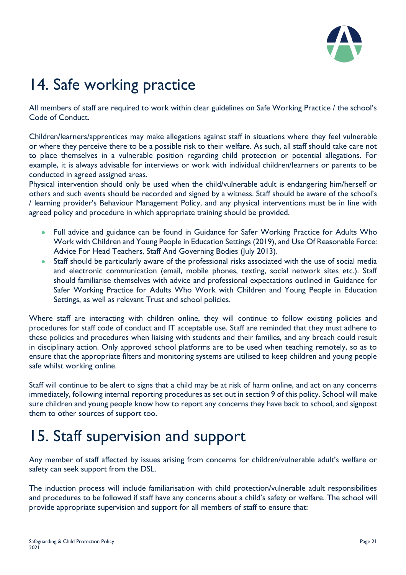

# 14. Safe working practice

All members of staff are required to work within clear guidelines on Safe Working Practice / the school's Code of Conduct.

Children/learners/apprentices may make allegations against staff in situations where they feel vulnerable or where they perceive there to be a possible risk to their welfare. As such, all staff should take care not to place themselves in a vulnerable position regarding child protection or potential allegations. For example, it is always advisable for interviews or work with individual children/learners or parents to be conducted in agreed assigned areas.

Physical intervention should only be used when the child/vulnerable adult is endangering him/herself or others and such events should be recorded and signed by a witness. Staff should be aware of the school's / learning provider's Behaviour Management Policy, and any physical interventions must be in line with agreed policy and procedure in which appropriate training should be provided.

- Full advice and guidance can be found in Guidance for Safer Working Practice for Adults Who Work with Children and Young People in Education Settings (2019), and Use Of Reasonable Force: Advice For Head Teachers, Staff And Governing Bodies (July 2013).
- Staff should be particularly aware of the professional risks associated with the use of social media and electronic communication (email, mobile phones, texting, social network sites etc.). Staff should familiarise themselves with advice and professional expectations outlined in Guidance for Safer Working Practice for Adults Who Work with Children and Young People in Education Settings, as well as relevant Trust and school policies.

Where staff are interacting with children online, they will continue to follow existing policies and procedures for staff code of conduct and IT acceptable use. Staff are reminded that they must adhere to these policies and procedures when liaising with students and their families, and any breach could result in disciplinary action. Only approved school platforms are to be used when teaching remotely, so as to ensure that the appropriate filters and monitoring systems are utilised to keep children and young people safe whilst working online.

Staff will continue to be alert to signs that a child may be at risk of harm online, and act on any concerns immediately, following internal reporting procedures as set out in section 9 of this policy. School will make sure children and young people know how to report any concerns they have back to school, and signpost them to other sources of support too.

### 15. Staff supervision and support

Any member of staff affected by issues arising from concerns for children/vulnerable adult's welfare or safety can seek support from the DSL.

The induction process will include familiarisation with child protection/vulnerable adult responsibilities and procedures to be followed if staff have any concerns about a child's safety or welfare. The school will provide appropriate supervision and support for all members of staff to ensure that: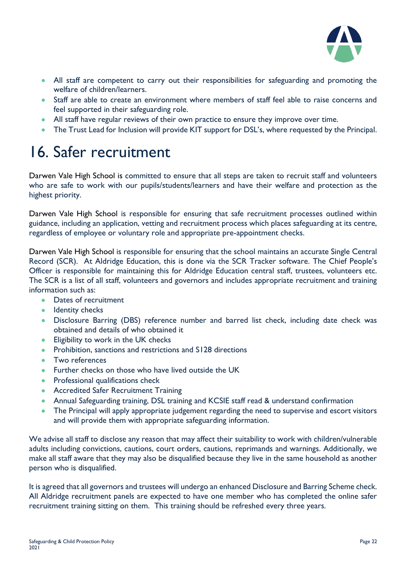

- All staff are competent to carry out their responsibilities for safeguarding and promoting the welfare of children/learners.
- Staff are able to create an environment where members of staff feel able to raise concerns and feel supported in their safeguarding role.
- All staff have regular reviews of their own practice to ensure they improve over time.
- The Trust Lead for Inclusion will provide KIT support for DSL's, where requested by the Principal.

### 16. Safer recruitment

Darwen Vale High School is committed to ensure that all steps are taken to recruit staff and volunteers who are safe to work with our pupils/students/learners and have their welfare and protection as the highest priority.

Darwen Vale High School is responsible for ensuring that safe recruitment processes outlined within guidance, including an application, vetting and recruitment process which places safeguarding at its centre, regardless of employee or voluntary role and appropriate pre-appointment checks.

Darwen Vale High School is responsible for ensuring that the school maintains an accurate Single Central Record (SCR). At Aldridge Education, this is done via the SCR Tracker software. The Chief People's Officer is responsible for maintaining this for Aldridge Education central staff, trustees, volunteers etc. The SCR is a list of all staff, volunteers and governors and includes appropriate recruitment and training information such as:

- Dates of recruitment
- Identity checks
- Disclosure Barring (DBS) reference number and barred list check, including date check was obtained and details of who obtained it
- Eligibility to work in the UK checks
- Prohibition, sanctions and restrictions and S128 directions
- Two references
- Further checks on those who have lived outside the UK
- Professional qualifications check
- Accredited Safer Recruitment Training
- Annual Safeguarding training, DSL training and KCSIE staff read & understand confirmation
- The Principal will apply appropriate judgement regarding the need to supervise and escort visitors and will provide them with appropriate safeguarding information.

We advise all staff to disclose any reason that may affect their suitability to work with children/vulnerable adults including convictions, cautions, court orders, cautions, reprimands and warnings. Additionally, we make all staff aware that they may also be disqualified because they live in the same household as another person who is disqualified.

It is agreed that all governors and trustees will undergo an enhanced Disclosure and Barring Scheme check. All Aldridge recruitment panels are expected to have one member who has completed the online safer recruitment training sitting on them. This training should be refreshed every three years.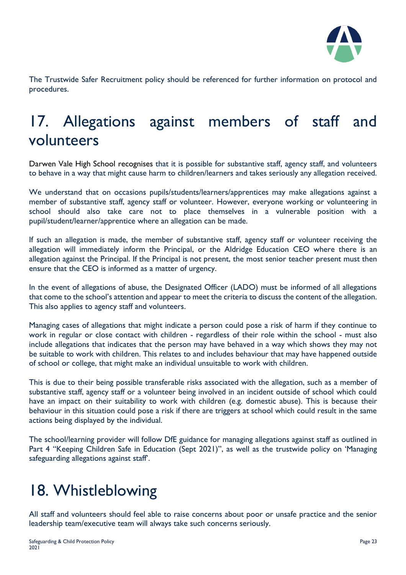

The Trustwide Safer Recruitment policy should be referenced for further information on protocol and procedures.

### 17. Allegations against members of staff and volunteers

Darwen Vale High School recognises that it is possible for substantive staff, agency staff, and volunteers to behave in a way that might cause harm to children/learners and takes seriously any allegation received.

We understand that on occasions pupils/students/learners/apprentices may make allegations against a member of substantive staff, agency staff or volunteer. However, everyone working or volunteering in school should also take care not to place themselves in a vulnerable position with a pupil/student/learner/apprentice where an allegation can be made.

If such an allegation is made, the member of substantive staff, agency staff or volunteer receiving the allegation will immediately inform the Principal, or the Aldridge Education CEO where there is an allegation against the Principal. If the Principal is not present, the most senior teacher present must then ensure that the CEO is informed as a matter of urgency.

In the event of allegations of abuse, the Designated Officer (LADO) must be informed of all allegations that come to the school's attention and appear to meet the criteria to discuss the content of the allegation. This also applies to agency staff and volunteers.

Managing cases of allegations that might indicate a person could pose a risk of harm if they continue to work in regular or close contact with children - regardless of their role within the school - must also include allegations that indicates that the person may have behaved in a way which shows they may not be suitable to work with children. This relates to and includes behaviour that may have happened outside of school or college, that might make an individual unsuitable to work with children.

This is due to their being possible transferable risks associated with the allegation, such as a member of substantive staff, agency staff or a volunteer being involved in an incident outside of school which could have an impact on their suitability to work with children (e.g. domestic abuse). This is because their behaviour in this situation could pose a risk if there are triggers at school which could result in the same actions being displayed by the individual.

The school/learning provider will follow DfE guidance for managing allegations against staff as outlined in Part 4 "Keeping Children Safe in Education (Sept 2021)", as well as the trustwide policy on 'Managing safeguarding allegations against staff'.

# 18. Whistleblowing

All staff and volunteers should feel able to raise concerns about poor or unsafe practice and the senior leadership team/executive team will always take such concerns seriously.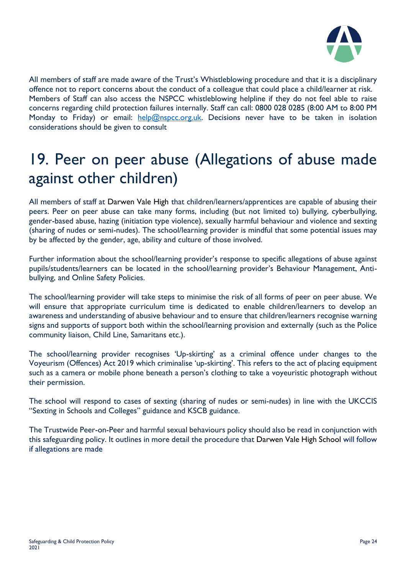

All members of staff are made aware of the Trust's Whistleblowing procedure and that it is a disciplinary offence not to report concerns about the conduct of a colleague that could place a child/learner at risk. Members of Staff can also access the NSPCC whistleblowing helpline if they do not feel able to raise concerns regarding child protection failures internally. Staff can call: 0800 028 0285 (8:00 AM to 8:00 PM Monday to Friday) or email:  $\frac{help(@nspec.org.uk.$  Decisions never have to be taken in isolation considerations should be given to consult

# 19. Peer on peer abuse (Allegations of abuse made against other children)

All members of staff at Darwen Vale High that children/learners/apprentices are capable of abusing their peers. Peer on peer abuse can take many forms, including (but not limited to) bullying, cyberbullying, gender-based abuse, hazing (initiation type violence), sexually harmful behaviour and violence and sexting (sharing of nudes or semi-nudes). The school/learning provider is mindful that some potential issues may by be affected by the gender, age, ability and culture of those involved.

Further information about the school/learning provider's response to specific allegations of abuse against pupils/students/learners can be located in the school/learning provider's Behaviour Management, Antibullying, and Online Safety Policies.

The school/learning provider will take steps to minimise the risk of all forms of peer on peer abuse. We will ensure that appropriate curriculum time is dedicated to enable children/learners to develop an awareness and understanding of abusive behaviour and to ensure that children/learners recognise warning signs and supports of support both within the school/learning provision and externally (such as the Police community liaison, Child Line, Samaritans etc.).

The school/learning provider recognises 'Up-skirting' as a criminal offence under changes to the Voyeurism (Offences) Act 2019 which criminalise 'up-skirting'. This refers to the act of placing equipment such as a camera or mobile phone beneath a person's clothing to take a voyeuristic photograph without their permission.

The school will respond to cases of sexting (sharing of nudes or semi-nudes) in line with the UKCCIS "Sexting in Schools and Colleges" guidance and KSCB guidance.

The Trustwide Peer-on-Peer and harmful sexual behaviours policy should also be read in conjunction with this safeguarding policy. It outlines in more detail the procedure that Darwen Vale High School will follow if allegations are made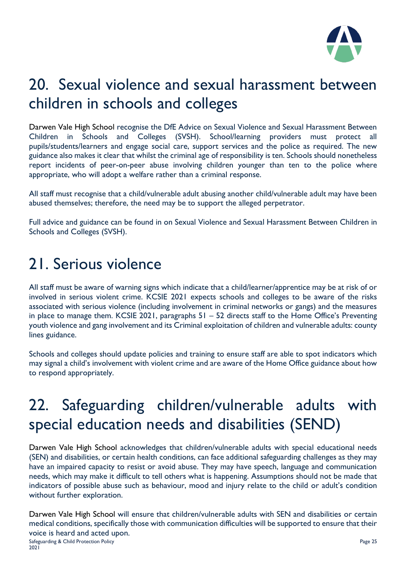

# 20. Sexual violence and sexual harassment between children in schools and colleges

Darwen Vale High School recognise the DfE Advice on Sexual Violence and Sexual Harassment Between Children in Schools and Colleges (SVSH). School/learning providers must protect all pupils/students/learners and engage social care, support services and the police as required. The new guidance also makes it clear that whilst the criminal age of responsibility is ten. Schools should nonetheless report incidents of peer-on-peer abuse involving children younger than ten to the police where appropriate, who will adopt a welfare rather than a criminal response.

All staff must recognise that a child/vulnerable adult abusing another child/vulnerable adult may have been abused themselves; therefore, the need may be to support the alleged perpetrator.

Full advice and guidance can be found in on Sexual Violence and Sexual Harassment Between Children in Schools and Colleges (SVSH).

### 21. Serious violence

All staff must be aware of warning signs which indicate that a child/learner/apprentice may be at risk of or involved in serious violent crime. KCSIE 2021 expects schools and colleges to be aware of the risks associated with serious violence (including involvement in criminal networks or gangs) and the measures in place to manage them. KCSIE 2021, paragraphs 51 – 52 directs staff to the Home Office's Preventing youth violence and gang involvement and its Criminal exploitation of children and vulnerable adults: county lines guidance.

Schools and colleges should update policies and training to ensure staff are able to spot indicators which may signal a child's involvement with violent crime and are aware of the Home Office guidance about how to respond appropriately.

# 22. Safeguarding children/vulnerable adults with special education needs and disabilities (SEND)

Darwen Vale High School acknowledges that children/vulnerable adults with special educational needs (SEN) and disabilities, or certain health conditions, can face additional safeguarding challenges as they may have an impaired capacity to resist or avoid abuse. They may have speech, language and communication needs, which may make it difficult to tell others what is happening. Assumptions should not be made that indicators of possible abuse such as behaviour, mood and injury relate to the child or adult's condition without further exploration.

Safeguarding & Child Protection Policy Page 25 Darwen Vale High School will ensure that children/vulnerable adults with SEN and disabilities or certain medical conditions, specifically those with communication difficulties will be supported to ensure that their voice is heard and acted upon.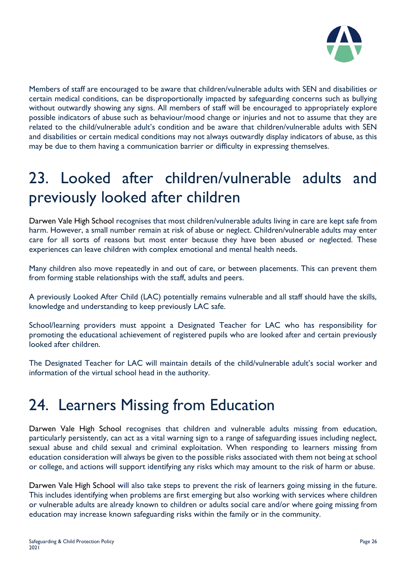

Members of staff are encouraged to be aware that children/vulnerable adults with SEN and disabilities or certain medical conditions, can be disproportionally impacted by safeguarding concerns such as bullying without outwardly showing any signs. All members of staff will be encouraged to appropriately explore possible indicators of abuse such as behaviour/mood change or injuries and not to assume that they are related to the child/vulnerable adult's condition and be aware that children/vulnerable adults with SEN and disabilities or certain medical conditions may not always outwardly display indicators of abuse, as this may be due to them having a communication barrier or difficulty in expressing themselves.

### 23. Looked after children/vulnerable adults and previously looked after children

Darwen Vale High School recognises that most children/vulnerable adults living in care are kept safe from harm. However, a small number remain at risk of abuse or neglect. Children/vulnerable adults may enter care for all sorts of reasons but most enter because they have been abused or neglected. These experiences can leave children with complex emotional and mental health needs.

Many children also move repeatedly in and out of care, or between placements. This can prevent them from forming stable relationships with the staff, adults and peers.

A previously Looked After Child (LAC) potentially remains vulnerable and all staff should have the skills, knowledge and understanding to keep previously LAC safe.

School/learning providers must appoint a Designated Teacher for LAC who has responsibility for promoting the educational achievement of registered pupils who are looked after and certain previously looked after children.

The Designated Teacher for LAC will maintain details of the child/vulnerable adult's social worker and information of the virtual school head in the authority.

#### 24. Learners Missing from Education

Darwen Vale High School recognises that children and vulnerable adults missing from education, particularly persistently, can act as a vital warning sign to a range of safeguarding issues including neglect, sexual abuse and child sexual and criminal exploitation. When responding to learners missing from education consideration will always be given to the possible risks associated with them not being at school or college, and actions will support identifying any risks which may amount to the risk of harm or abuse.

Darwen Vale High School will also take steps to prevent the risk of learners going missing in the future. This includes identifying when problems are first emerging but also working with services where children or vulnerable adults are already known to children or adults social care and/or where going missing from education may increase known safeguarding risks within the family or in the community.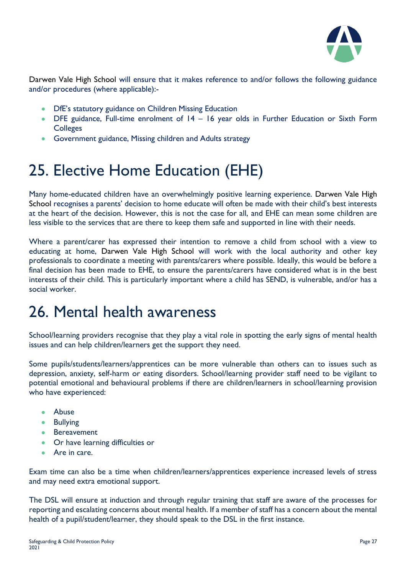

Darwen Vale High School will ensure that it makes reference to and/or follows the following guidance and/or procedures (where applicable):-

- DfE's statutory guidance on Children Missing Education
- DFE guidance, Full-time enrolment of 14 16 year olds in Further Education or Sixth Form **Colleges**
- Government guidance, Missing children and Adults strategy

## 25. Elective Home Education (EHE)

Many home-educated children have an overwhelmingly positive learning experience. Darwen Vale High School recognises a parents' decision to home educate will often be made with their child's best interests at the heart of the decision. However, this is not the case for all, and EHE can mean some children are less visible to the services that are there to keep them safe and supported in line with their needs.

Where a parent/carer has expressed their intention to remove a child from school with a view to educating at home, Darwen Vale High School will work with the local authority and other key professionals to coordinate a meeting with parents/carers where possible. Ideally, this would be before a final decision has been made to EHE, to ensure the parents/carers have considered what is in the best interests of their child. This is particularly important where a child has SEND, is vulnerable, and/or has a social worker.

### 26. Mental health awareness

School/learning providers recognise that they play a vital role in spotting the early signs of mental health issues and can help children/learners get the support they need.

Some pupils/students/learners/apprentices can be more vulnerable than others can to issues such as depression, anxiety, self-harm or eating disorders. School/learning provider staff need to be vigilant to potential emotional and behavioural problems if there are children/learners in school/learning provision who have experienced:

- Abuse
- Bullying
- Bereavement
- Or have learning difficulties or
- Are in care.

Exam time can also be a time when children/learners/apprentices experience increased levels of stress and may need extra emotional support.

The DSL will ensure at induction and through regular training that staff are aware of the processes for reporting and escalating concerns about mental health. If a member of staff has a concern about the mental health of a pupil/student/learner, they should speak to the DSL in the first instance.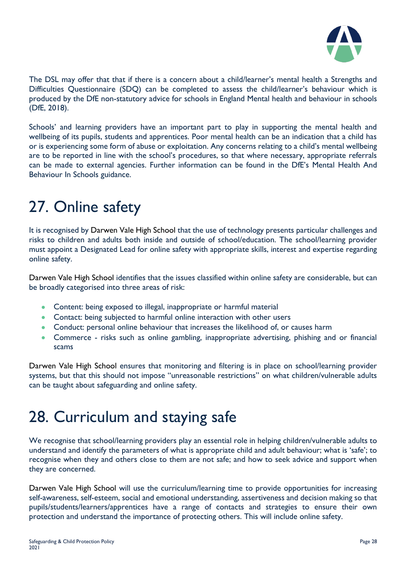

The DSL may offer that that if there is a concern about a child/learner's mental health a Strengths and Difficulties Questionnaire (SDQ) can be completed to assess the child/learner's behaviour which is produced by the DfE non-statutory advice for schools in England Mental health and behaviour in schools (DfE, 2018).

Schools' and learning providers have an important part to play in supporting the mental health and wellbeing of its pupils, students and apprentices. Poor mental health can be an indication that a child has or is experiencing some form of abuse or exploitation. Any concerns relating to a child's mental wellbeing are to be reported in line with the school's procedures, so that where necessary, appropriate referrals can be made to external agencies. Further information can be found in the DfE's Mental Health And Behaviour In Schools guidance.

# 27. Online safety

It is recognised by Darwen Vale High School that the use of technology presents particular challenges and risks to children and adults both inside and outside of school/education. The school/learning provider must appoint a Designated Lead for online safety with appropriate skills, interest and expertise regarding online safety.

Darwen Vale High School identifies that the issues classified within online safety are considerable, but can be broadly categorised into three areas of risk:

- Content: being exposed to illegal, inappropriate or harmful material
- Contact: being subjected to harmful online interaction with other users
- Conduct: personal online behaviour that increases the likelihood of, or causes harm
- Commerce risks such as online gambling, inappropriate advertising, phishing and or financial scams

Darwen Vale High School ensures that monitoring and filtering is in place on school/learning provider systems, but that this should not impose "unreasonable restrictions" on what children/vulnerable adults can be taught about safeguarding and online safety.

### 28. Curriculum and staying safe

We recognise that school/learning providers play an essential role in helping children/vulnerable adults to understand and identify the parameters of what is appropriate child and adult behaviour; what is 'safe'; to recognise when they and others close to them are not safe; and how to seek advice and support when they are concerned.

Darwen Vale High School will use the curriculum/learning time to provide opportunities for increasing self-awareness, self-esteem, social and emotional understanding, assertiveness and decision making so that pupils/students/learners/apprentices have a range of contacts and strategies to ensure their own protection and understand the importance of protecting others. This will include online safety.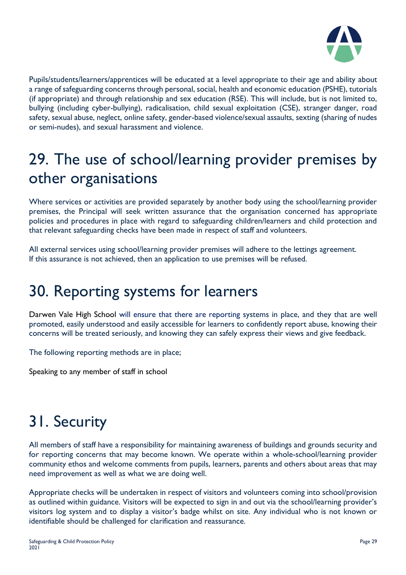

Pupils/students/learners/apprentices will be educated at a level appropriate to their age and ability about a range of safeguarding concerns through personal, social, health and economic education (PSHE), tutorials (if appropriate) and through relationship and sex education (RSE). This will include, but is not limited to, bullying (including cyber-bullying), radicalisation, child sexual exploitation (CSE), stranger danger, road safety, sexual abuse, neglect, online safety, gender-based violence/sexual assaults, sexting (sharing of nudes or semi-nudes), and sexual harassment and violence.

# 29. The use of school/learning provider premises by other organisations

Where services or activities are provided separately by another body using the school/learning provider premises, the Principal will seek written assurance that the organisation concerned has appropriate policies and procedures in place with regard to safeguarding children/learners and child protection and that relevant safeguarding checks have been made in respect of staff and volunteers.

All external services using school/learning provider premises will adhere to the lettings agreement. If this assurance is not achieved, then an application to use premises will be refused.

### 30. Reporting systems for learners

Darwen Vale High School will ensure that there are reporting systems in place, and they that are well promoted, easily understood and easily accessible for learners to confidently report abuse, knowing their concerns will be treated seriously, and knowing they can safely express their views and give feedback.

The following reporting methods are in place;

Speaking to any member of staff in school

# 31. Security

All members of staff have a responsibility for maintaining awareness of buildings and grounds security and for reporting concerns that may become known. We operate within a whole-school/learning provider community ethos and welcome comments from pupils, learners, parents and others about areas that may need improvement as well as what we are doing well.

Appropriate checks will be undertaken in respect of visitors and volunteers coming into school/provision as outlined within guidance. Visitors will be expected to sign in and out via the school/learning provider's visitors log system and to display a visitor's badge whilst on site. Any individual who is not known or identifiable should be challenged for clarification and reassurance.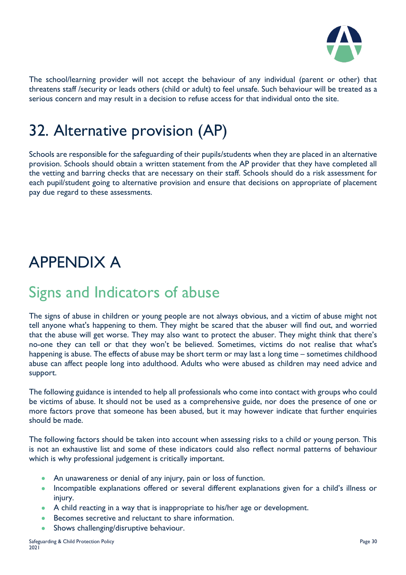

The school/learning provider will not accept the behaviour of any individual (parent or other) that threatens staff /security or leads others (child or adult) to feel unsafe. Such behaviour will be treated as a serious concern and may result in a decision to refuse access for that individual onto the site.

# 32. Alternative provision (AP)

Schools are responsible for the safeguarding of their pupils/students when they are placed in an alternative provision. Schools should obtain a written statement from the AP provider that they have completed all the vetting and barring checks that are necessary on their staff. Schools should do a risk assessment for each pupil/student going to alternative provision and ensure that decisions on appropriate of placement pay due regard to these assessments.

# APPENDIX A

#### Signs and Indicators of abuse

The signs of abuse in children or young people are not always obvious, and a victim of abuse might not tell anyone what's happening to them. They might be scared that the abuser will find out, and worried that the abuse will get worse. They may also want to protect the abuser. They might think that there's no-one they can tell or that they won't be believed. Sometimes, victims do not realise that what's happening is abuse. The effects of abuse may be short term or may last a long time – sometimes childhood abuse can affect people long into adulthood. Adults who were abused as children may need advice and support.

The following guidance is intended to help all professionals who come into contact with groups who could be victims of abuse. It should not be used as a comprehensive guide, nor does the presence of one or more factors prove that someone has been abused, but it may however indicate that further enquiries should be made.

The following factors should be taken into account when assessing risks to a child or young person. This is not an exhaustive list and some of these indicators could also reflect normal patterns of behaviour which is why professional judgement is critically important.

- An unawareness or denial of any injury, pain or loss of function.
- Incompatible explanations offered or several different explanations given for a child's illness or injury.
- A child reacting in a way that is inappropriate to his/her age or development.
- Becomes secretive and reluctant to share information.
- Shows challenging/disruptive behaviour.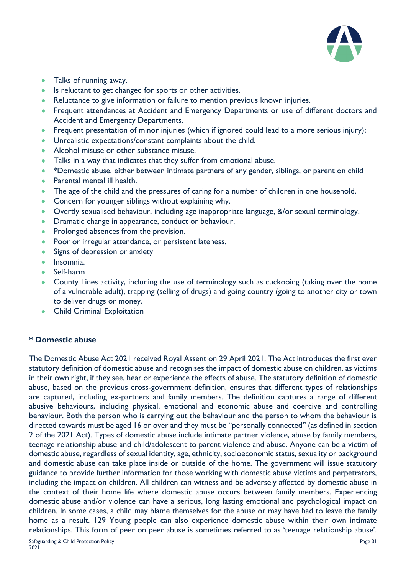

- Talks of running away.
- Is reluctant to get changed for sports or other activities.
- Reluctance to give information or failure to mention previous known injuries.
- Frequent attendances at Accident and Emergency Departments or use of different doctors and Accident and Emergency Departments.
- Frequent presentation of minor injuries (which if ignored could lead to a more serious injury);
- Unrealistic expectations/constant complaints about the child.
- Alcohol misuse or other substance misuse.
- Talks in a way that indicates that they suffer from emotional abuse.
- \*Domestic abuse, either between intimate partners of any gender, siblings, or parent on child
- Parental mental ill health.
- The age of the child and the pressures of caring for a number of children in one household.
- Concern for younger siblings without explaining why.
- Overtly sexualised behaviour, including age inappropriate language, &/or sexual terminology.
- Dramatic change in appearance, conduct or behaviour.
- Prolonged absences from the provision.
- Poor or irregular attendance, or persistent lateness.
- Signs of depression or anxiety
- Insomnia.
- Self-harm
- County Lines activity, including the use of terminology such as cuckooing (taking over the home of a vulnerable adult), trapping (selling of drugs) and going country (going to another city or town to deliver drugs or money.
- Child Criminal Exploitation

#### **\* Domestic abuse**

The Domestic Abuse Act 2021 received Royal Assent on 29 April 2021. The Act introduces the first ever statutory definition of domestic abuse and recognises the impact of domestic abuse on children, as victims in their own right, if they see, hear or experience the effects of abuse. The statutory definition of domestic abuse, based on the previous cross-government definition, ensures that different types of relationships are captured, including ex-partners and family members. The definition captures a range of different abusive behaviours, including physical, emotional and economic abuse and coercive and controlling behaviour. Both the person who is carrying out the behaviour and the person to whom the behaviour is directed towards must be aged 16 or over and they must be "personally connected" (as defined in section 2 of the 2021 Act). Types of domestic abuse include intimate partner violence, abuse by family members, teenage relationship abuse and child/adolescent to parent violence and abuse. Anyone can be a victim of domestic abuse, regardless of sexual identity, age, ethnicity, socioeconomic status, sexuality or background and domestic abuse can take place inside or outside of the home. The government will issue statutory guidance to provide further information for those working with domestic abuse victims and perpetrators, including the impact on children. All children can witness and be adversely affected by domestic abuse in the context of their home life where domestic abuse occurs between family members. Experiencing domestic abuse and/or violence can have a serious, long lasting emotional and psychological impact on children. In some cases, a child may blame themselves for the abuse or may have had to leave the family home as a result. 129 Young people can also experience domestic abuse within their own intimate relationships. This form of peer on peer abuse is sometimes referred to as 'teenage relationship abuse'.